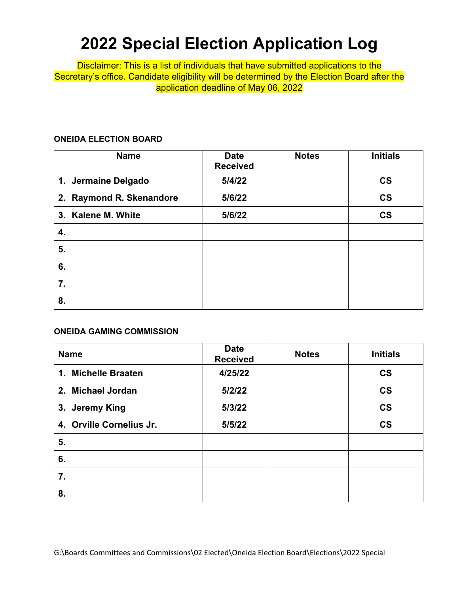# **2022 Special Election Application Log**

Disclaimer: This is a list of individuals that have submitted applications to the Secretary's office. Candidate eligibility will be determined by the Election Board after the application deadline of May 06, 2022

### **ONEIDA ELECTION BOARD**

| <b>Name</b>              | <b>Date</b><br><b>Received</b> | <b>Notes</b> | <b>Initials</b>          |
|--------------------------|--------------------------------|--------------|--------------------------|
| 1. Jermaine Delgado      | 5/4/22                         |              | $\mathsf{CS}\phantom{0}$ |
| 2. Raymond R. Skenandore | 5/6/22                         |              | $\mathsf{CS}\phantom{0}$ |
| 3. Kalene M. White       | 5/6/22                         |              | $\mathsf{CS}\phantom{0}$ |
| 4.                       |                                |              |                          |
| 5.                       |                                |              |                          |
| 6.                       |                                |              |                          |
| 7.                       |                                |              |                          |
| 8.                       |                                |              |                          |

## **ONEIDA GAMING COMMISSION**

| <b>Name</b>              | <b>Date</b><br><b>Received</b> | <b>Notes</b> | <b>Initials</b>          |
|--------------------------|--------------------------------|--------------|--------------------------|
| 1. Michelle Braaten      | 4/25/22                        |              | $\mathsf{CS}\phantom{0}$ |
| 2. Michael Jordan        | 5/2/22                         |              | $\mathsf{CS}\phantom{0}$ |
| 3. Jeremy King           | 5/3/22                         |              | $\mathsf{CS}\phantom{0}$ |
| 4. Orville Cornelius Jr. | 5/5/22                         |              | $\mathsf{CS}\phantom{0}$ |
| 5.                       |                                |              |                          |
| 6.                       |                                |              |                          |
| 7.                       |                                |              |                          |
| 8.                       |                                |              |                          |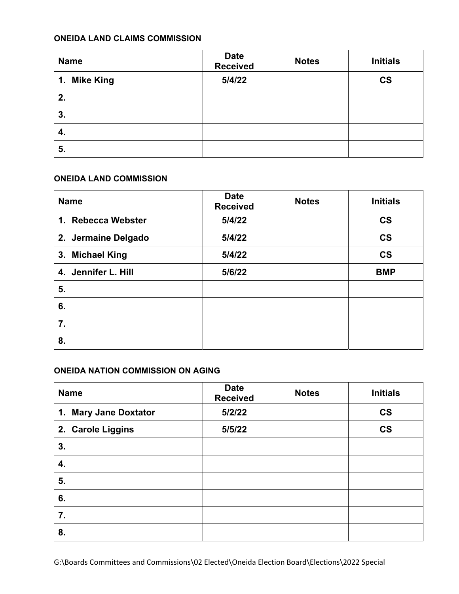## **ONEIDA LAND CLAIMS COMMISSION**

| <b>Name</b>  | <b>Date</b><br><b>Received</b> | <b>Notes</b> | <b>Initials</b>          |
|--------------|--------------------------------|--------------|--------------------------|
| 1. Mike King | 5/4/22                         |              | $\mathsf{CS}\phantom{0}$ |
| 2.           |                                |              |                          |
| 3.           |                                |              |                          |
| 4.           |                                |              |                          |
| 5.           |                                |              |                          |

#### **ONEIDA LAND COMMISSION**

| <b>Name</b>         | <b>Date</b><br><b>Received</b> | <b>Notes</b> | <b>Initials</b>          |
|---------------------|--------------------------------|--------------|--------------------------|
| 1. Rebecca Webster  | 5/4/22                         |              | $\mathsf{CS}\phantom{0}$ |
| 2. Jermaine Delgado | 5/4/22                         |              | $\mathsf{CS}\phantom{0}$ |
| 3. Michael King     | 5/4/22                         |              | $\mathsf{CS}\phantom{0}$ |
| 4. Jennifer L. Hill | 5/6/22                         |              | <b>BMP</b>               |
| 5.                  |                                |              |                          |
| 6.                  |                                |              |                          |
| 7.                  |                                |              |                          |
| 8.                  |                                |              |                          |

### **ONEIDA NATION COMMISSION ON AGING**

| <b>Name</b>           | <b>Date</b><br><b>Received</b> | <b>Notes</b> | <b>Initials</b>          |
|-----------------------|--------------------------------|--------------|--------------------------|
| 1. Mary Jane Doxtator | 5/2/22                         |              | $\mathsf{CS}\phantom{0}$ |
| 2. Carole Liggins     | 5/5/22                         |              | $\mathsf{CS}\phantom{0}$ |
| 3.                    |                                |              |                          |
| 4.                    |                                |              |                          |
| 5.                    |                                |              |                          |
| 6.                    |                                |              |                          |
| 7.                    |                                |              |                          |
| 8.                    |                                |              |                          |